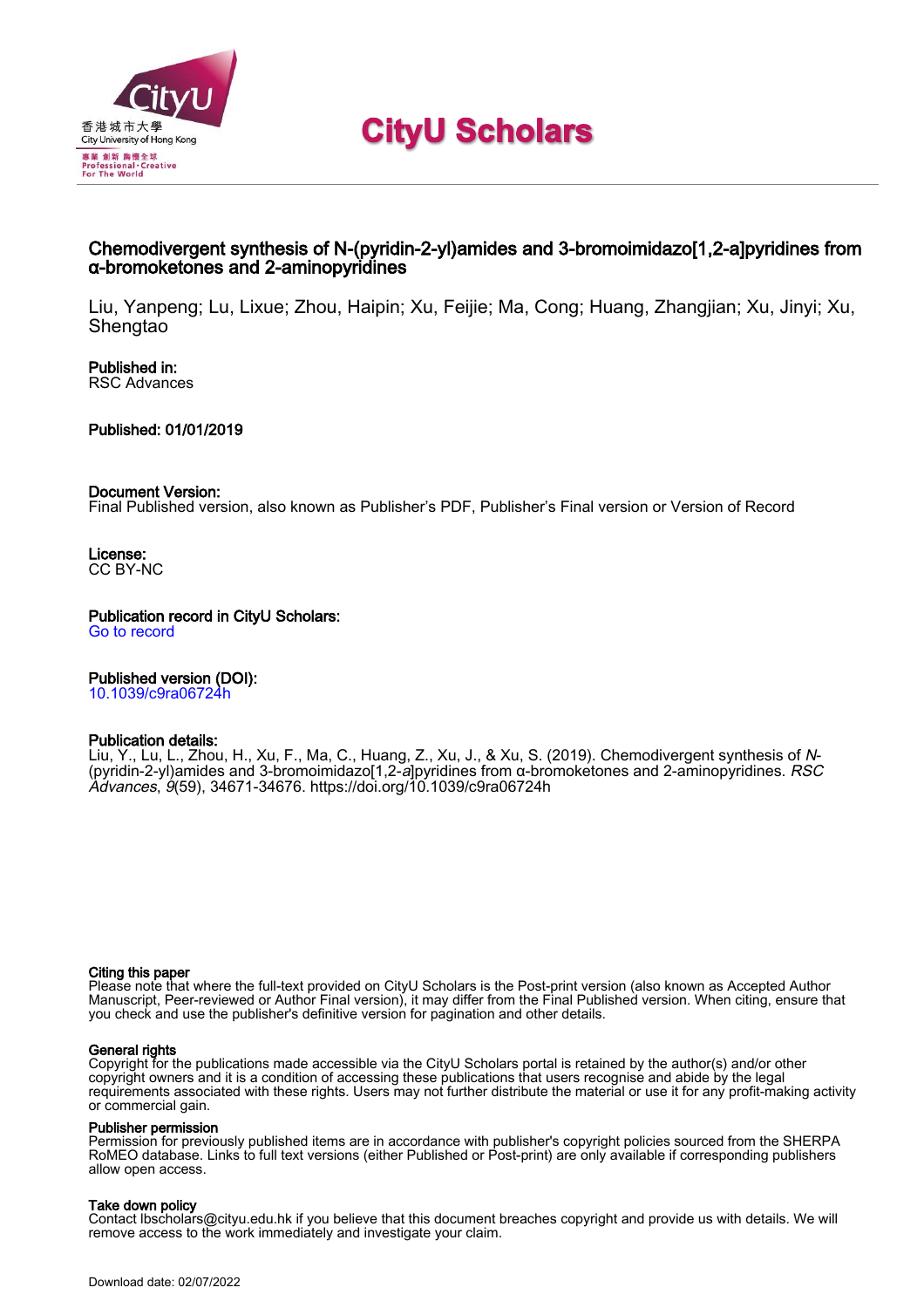

**CityU Scholars** 

### Chemodivergent synthesis of N-(pyridin-2-yl)amides and 3-bromoimidazo[1,2-a]pyridines from α-bromoketones and 2-aminopyridines

Liu, Yanpeng; Lu, Lixue; Zhou, Haipin; Xu, Feijie; Ma, Cong; Huang, Zhangjian; Xu, Jinyi; Xu, **Shengtao** 

Published in: RSC Advances

Published: 01/01/2019

### Document Version:

Final Published version, also known as Publisher's PDF, Publisher's Final version or Version of Record

License: CC BY-NC

Publication record in CityU Scholars: [Go to record](https://scholars.cityu.edu.hk/en/publications/chemodivergent-synthesis-of-npyridin2ylamides-and-3bromoimidazo12apyridines-from-bromoketones-and-2aminopyridines(9674db32-3103-4683-b6f8-7260a4e3f269).html)

Published version (DOI):

[10.1039/c9ra06724h](https://doi.org/10.1039/c9ra06724h)

### Publication details:

[Liu, Y.](https://scholars.cityu.edu.hk/en/persons/yanpeng-liu(935965b6-0d4b-4dfe-b0f7-fbda099c278f).html), Lu, L., Zhou, H., Xu, F., Ma, C., Huang, Z., Xu, J., & Xu, S. (2019). [Chemodivergent synthesis of](https://scholars.cityu.edu.hk/en/publications/chemodivergent-synthesis-of-npyridin2ylamides-and-3bromoimidazo12apyridines-from-bromoketones-and-2aminopyridines(9674db32-3103-4683-b6f8-7260a4e3f269).html) [N](https://scholars.cityu.edu.hk/en/publications/chemodivergent-synthesis-of-npyridin2ylamides-and-3bromoimidazo12apyridines-from-bromoketones-and-2aminopyridines(9674db32-3103-4683-b6f8-7260a4e3f269).html)[-](https://scholars.cityu.edu.hk/en/publications/chemodivergent-synthesis-of-npyridin2ylamides-and-3bromoimidazo12apyridines-from-bromoketones-and-2aminopyridines(9674db32-3103-4683-b6f8-7260a4e3f269).html) [\(pyridin-2-yl\)amides and 3-bromoimidazo\[1,2-](https://scholars.cityu.edu.hk/en/publications/chemodivergent-synthesis-of-npyridin2ylamides-and-3bromoimidazo12apyridines-from-bromoketones-and-2aminopyridines(9674db32-3103-4683-b6f8-7260a4e3f269).html)*[a](https://scholars.cityu.edu.hk/en/publications/chemodivergent-synthesis-of-npyridin2ylamides-and-3bromoimidazo12apyridines-from-bromoketones-and-2aminopyridines(9674db32-3103-4683-b6f8-7260a4e3f269).html)*[\]pyridines from α-bromoketones and 2-aminopyridines](https://scholars.cityu.edu.hk/en/publications/chemodivergent-synthesis-of-npyridin2ylamides-and-3bromoimidazo12apyridines-from-bromoketones-and-2aminopyridines(9674db32-3103-4683-b6f8-7260a4e3f269).html). *[RSC](https://scholars.cityu.edu.hk/en/journals/rsc-advances(66b5622c-bc51-4fbe-bea9-7466f75bda24)/publications.html)* [Advances](https://scholars.cityu.edu.hk/en/journals/rsc-advances(66b5622c-bc51-4fbe-bea9-7466f75bda24)/publications.html), 9(59), 34671-34676. <https://doi.org/10.1039/c9ra06724h>

#### Citing this paper

Please note that where the full-text provided on CityU Scholars is the Post-print version (also known as Accepted Author Manuscript, Peer-reviewed or Author Final version), it may differ from the Final Published version. When citing, ensure that you check and use the publisher's definitive version for pagination and other details.

### General rights

Copyright for the publications made accessible via the CityU Scholars portal is retained by the author(s) and/or other copyright owners and it is a condition of accessing these publications that users recognise and abide by the legal requirements associated with these rights. Users may not further distribute the material or use it for any profit-making activity or commercial gain.

### Publisher permission

Permission for previously published items are in accordance with publisher's copyright policies sourced from the SHERPA RoMEO database. Links to full text versions (either Published or Post-print) are only available if corresponding publishers allow open access.

### Take down policy

Contact lbscholars@cityu.edu.hk if you believe that this document breaches copyright and provide us with details. We will remove access to the work immediately and investigate your claim.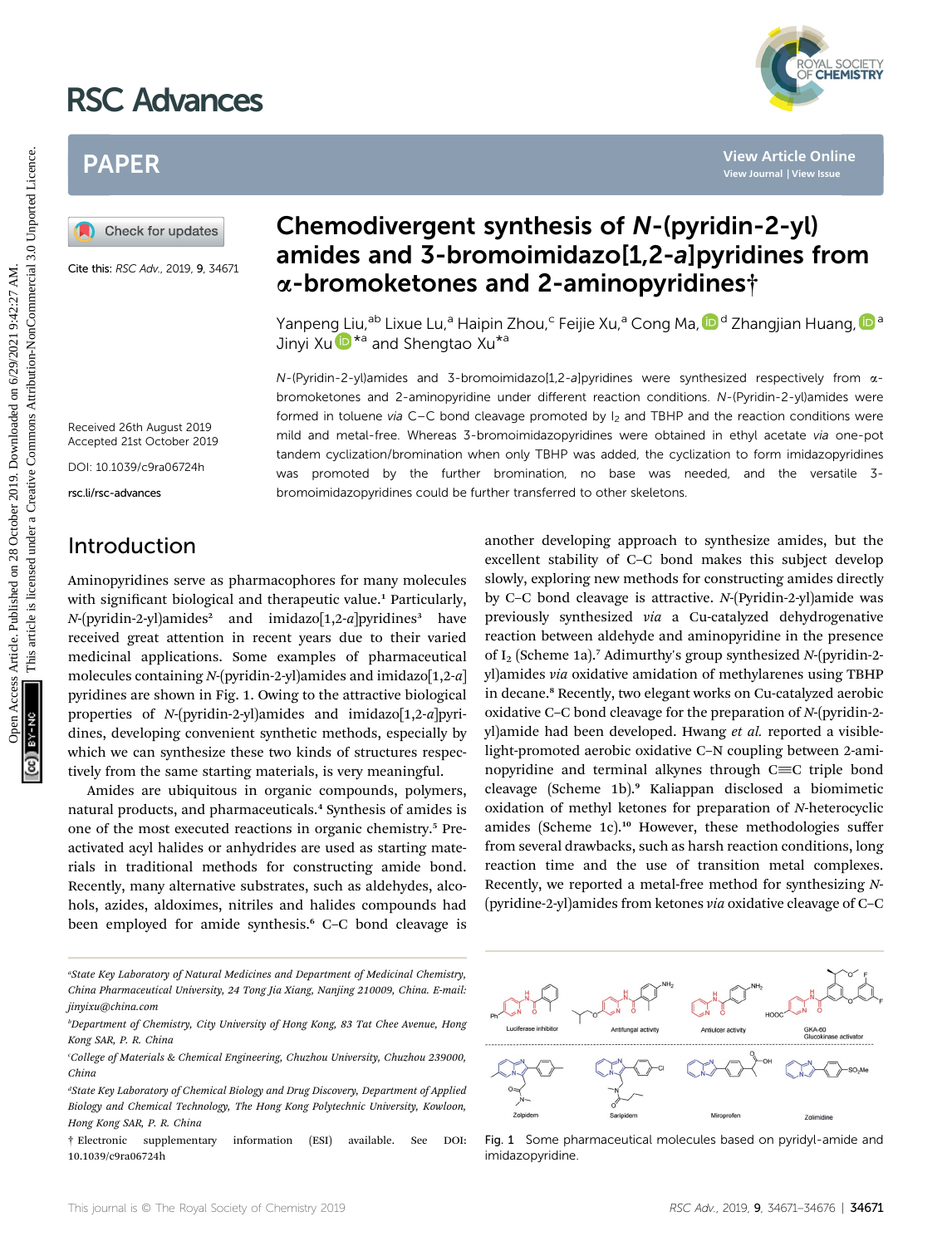# RSC Advances



## PAPER

Cite this: RSC Adv., 2019, 9, 34671

## Chemodivergent synthesis of N-(pyridin-2-yl) amides and 3-bromoimidazo[1,2-a]pyridines from a-bromoketones and 2-aminopyridines†

Yanpeng Liu,<sup>ab</sup> Lixue Lu,<sup>a</sup> Haipin Zhou,<sup>c</sup> Feijie Xu,<sup>a</sup> Cong Ma, D<sup>d</sup> Zhangjian Huang, D<sup>a</sup> Jinyi X[u](http://orcid.org/0000-0002-1961-0402) **D**<sup>\*a</sup> and Shengtao Xu<sup>\*a</sup>

 $N$ -(Pyridin-2-yl)amides and 3-bromoimidazo[1,2-a]pyridines were synthesized respectively from  $\alpha$ bromoketones and 2-aminopyridine under different reaction conditions. N-(Pyridin-2-yl)amides were formed in toluene via C–C bond cleavage promoted by  $I_2$  and TBHP and the reaction conditions were mild and metal-free. Whereas 3-bromoimidazopyridines were obtained in ethyl acetate via one-pot tandem cyclization/bromination when only TBHP was added, the cyclization to form imidazopyridines was promoted by the further bromination, no base was needed, and the versatile 3 bromoimidazopyridines could be further transferred to other skeletons. **PAPER**<br> **Chemodivergent synthesis of** *N***-(pyridin-2-yl)<br>
Chemodivergent synthesis of** *N***-(pyridin-2-yl)<br>
Chemodivergent synthesis of** *N***-(pyridin-2-yl)<br>
Chemodivergent synthesis of** *N***-(pyridin-2-yl)<br>
Chemodivergent synt** 

Received 26th August 2019 Accepted 21st October 2019

DOI: 10.1039/c9ra06724h

rsc.li/rsc-advances

## Introduction

Aminopyridines serve as pharmacophores for many molecules with significant biological and therapeutic value.<sup>1</sup> Particularly,  $N$ -(pyridin-2-yl)amides<sup>2</sup> and imidazo[1,2-a]pyridines<sup>3</sup> have received great attention in recent years due to their varied medicinal applications. Some examples of pharmaceutical molecules containing  $N$ -(pyridin-2-yl)amides and imidazo $[1,2-a]$ pyridines are shown in Fig. 1. Owing to the attractive biological properties of  $N$ -(pyridin-2-yl)amides and imidazo[1,2-a]pyridines, developing convenient synthetic methods, especially by which we can synthesize these two kinds of structures respectively from the same starting materials, is very meaningful.

Amides are ubiquitous in organic compounds, polymers, natural products, and pharmaceuticals.<sup>4</sup> Synthesis of amides is one of the most executed reactions in organic chemistry.<sup>5</sup> Preactivated acyl halides or anhydrides are used as starting materials in traditional methods for constructing amide bond. Recently, many alternative substrates, such as aldehydes, alcohols, azides, aldoximes, nitriles and halides compounds had been employed for amide synthesis.<sup>6</sup> C–C bond cleavage is

excellent stability of C–C bond makes this subject develop slowly, exploring new methods for constructing amides directly by C–C bond cleavage is attractive. N-(Pyridin-2-yl)amide was previously synthesized via a Cu-catalyzed dehydrogenative reaction between aldehyde and aminopyridine in the presence of I<sub>2</sub> (Scheme 1a).<sup>7</sup> Adimurthy's group synthesized  $N$ -(pyridin-2yl)amides via oxidative amidation of methylarenes using TBHP in decane.<sup>8</sup> Recently, two elegant works on Cu-catalyzed aerobic oxidative C–C bond cleavage for the preparation of N-(pyridin-2 yl)amide had been developed. Hwang et al. reported a visiblelight-promoted aerobic oxidative C–N coupling between 2-aminopyridine and terminal alkynes through  $C\equiv C$  triple bond cleavage (Scheme 1b).<sup>9</sup> Kaliappan disclosed a biomimetic oxidation of methyl ketones for preparation of N-heterocyclic amides (Scheme 1c).<sup>10</sup> However, these methodologies suffer from several drawbacks, such as harsh reaction conditions, long reaction time and the use of transition metal complexes. Recently, we reported a metal-free method for synthesizing N- (pyridine-2-yl)amides from ketones via oxidative cleavage of C–C

another developing approach to synthesize amides, but the

- "State Key Laboratory of Natural Medicines and Department of Medicinal Chemistry, China Pharmaceutical University, 24 Tong Jia Xiang, Nanjing 210009, China. E-mail: jinyixu@china.com
- b Department of Chemistry, City University of Hong Kong, 83 Tat Chee Avenue, Hong Kong SAR, P. R. China

<sup>†</sup> Electronic supplementary information (ESI) available. See DOI: 10.1039/c9ra06724h



Fig. 1 Some pharmaceutical molecules based on pyridyl-amide and imidazopyridine.

c College of Materials & Chemical Engineering, Chuzhou University, Chuzhou 239000, China

dState Key Laboratory of Chemical Biology and Drug Discovery, Department of Applied  $\,$ Biology and Chemical Technology, The Hong Kong Polytechnic University, Kowloon, Hong Kong SAR, P. R. China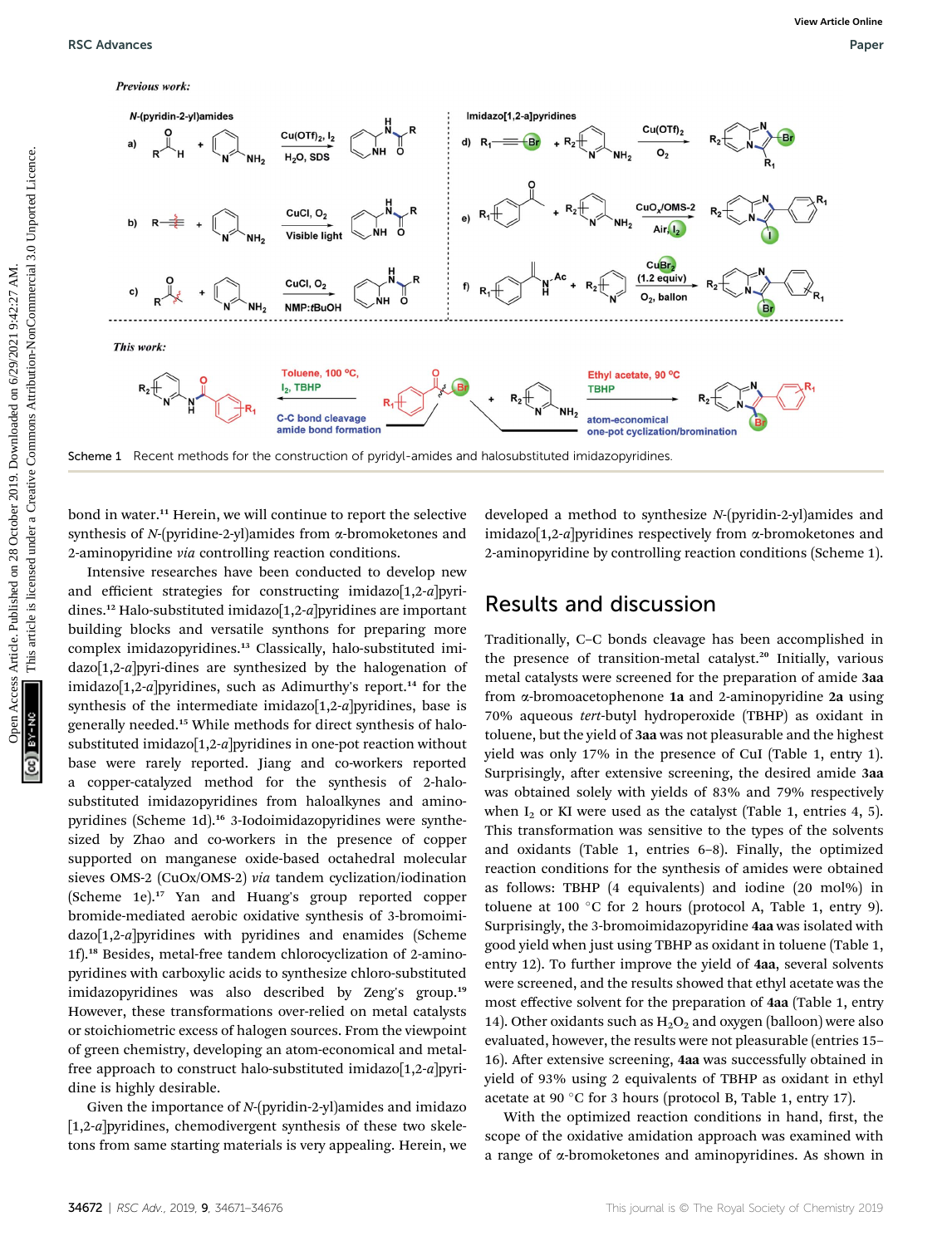

bond in water.<sup>11</sup> Herein, we will continue to report the selective synthesis of  $N$ -(pyridine-2-yl)amides from  $\alpha$ -bromoketones and 2-aminopyridine via controlling reaction conditions.

Intensive researches have been conducted to develop new and efficient strategies for constructing imidazo[1,2-a]pyridines.<sup>12</sup> Halo-substituted imidazo[1,2-a]pyridines are important building blocks and versatile synthons for preparing more complex imidazopyridines.<sup>13</sup> Classically, halo-substituted imidazo[1,2-a]pyri-dines are synthesized by the halogenation of imidazo $[1,2-a]$  pyridines, such as Adimurthy's report.<sup>14</sup> for the synthesis of the intermediate imidazo[1,2-a]pyridines, base is generally needed.<sup>15</sup> While methods for direct synthesis of halosubstituted imidazo[1,2-a]pyridines in one-pot reaction without base were rarely reported. Jiang and co-workers reported a copper-catalyzed method for the synthesis of 2-halosubstituted imidazopyridines from haloalkynes and aminopyridines (Scheme 1d).<sup>16</sup> 3-Iodoimidazopyridines were synthesized by Zhao and co-workers in the presence of copper supported on manganese oxide-based octahedral molecular sieves OMS-2 (CuOx/OMS-2) via tandem cyclization/iodination (Scheme 1e).<sup>17</sup> Yan and Huang's group reported copper bromide-mediated aerobic oxidative synthesis of 3-bromoimidazo[1,2-a]pyridines with pyridines and enamides (Scheme 1f).<sup>18</sup> Besides, metal-free tandem chlorocyclization of 2-aminopyridines with carboxylic acids to synthesize chloro-substituted imidazopyridines was also described by Zeng's group.<sup>19</sup> However, these transformations over-relied on metal catalysts or stoichiometric excess of halogen sources. From the viewpoint of green chemistry, developing an atom-economical and metalfree approach to construct halo-substituted imidazo $[1,2-a]$ pyridine is highly desirable.

Given the importance of N-(pyridin-2-yl)amides and imidazo [1,2-a]pyridines, chemodivergent synthesis of these two skeletons from same starting materials is very appealing. Herein, we developed a method to synthesize N-(pyridin-2-yl)amides and imidazo[1,2-a]pyridines respectively from  $\alpha$ -bromoketones and 2-aminopyridine by controlling reaction conditions (Scheme 1).

### Results and discussion

Traditionally, C–C bonds cleavage has been accomplished in the presence of transition-metal catalyst.<sup>20</sup> Initially, various metal catalysts were screened for the preparation of amide 3aa from  $\alpha$ -bromoacetophenone 1a and 2-aminopyridine 2a using 70% aqueous tert-butyl hydroperoxide (TBHP) as oxidant in toluene, but the yield of 3aa was not pleasurable and the highest yield was only 17% in the presence of CuI (Table 1, entry 1). Surprisingly, after extensive screening, the desired amide 3aa was obtained solely with yields of 83% and 79% respectively when  $I_2$  or KI were used as the catalyst (Table 1, entries 4, 5). This transformation was sensitive to the types of the solvents and oxidants (Table 1, entries 6–8). Finally, the optimized reaction conditions for the synthesis of amides were obtained as follows: TBHP (4 equivalents) and iodine (20 mol%) in toluene at 100 °C for 2 hours (protocol A, Table 1, entry 9). Surprisingly, the 3-bromoimidazopyridine 4aa was isolated with good yield when just using TBHP as oxidant in toluene (Table 1, entry 12). To further improve the yield of 4aa, several solvents were screened, and the results showed that ethyl acetate was the most effective solvent for the preparation of 4aa (Table 1, entry 14). Other oxidants such as  $H_2O_2$  and oxygen (balloon) were also evaluated, however, the results were not pleasurable (entries 15– 16). After extensive screening, 4aa was successfully obtained in yield of 93% using 2 equivalents of TBHP as oxidant in ethyl acetate at 90 °C for 3 hours (protocol B, Table 1, entry 17).

With the optimized reaction conditions in hand, first, the scope of the oxidative amidation approach was examined with a range of a-bromoketones and aminopyridines. As shown in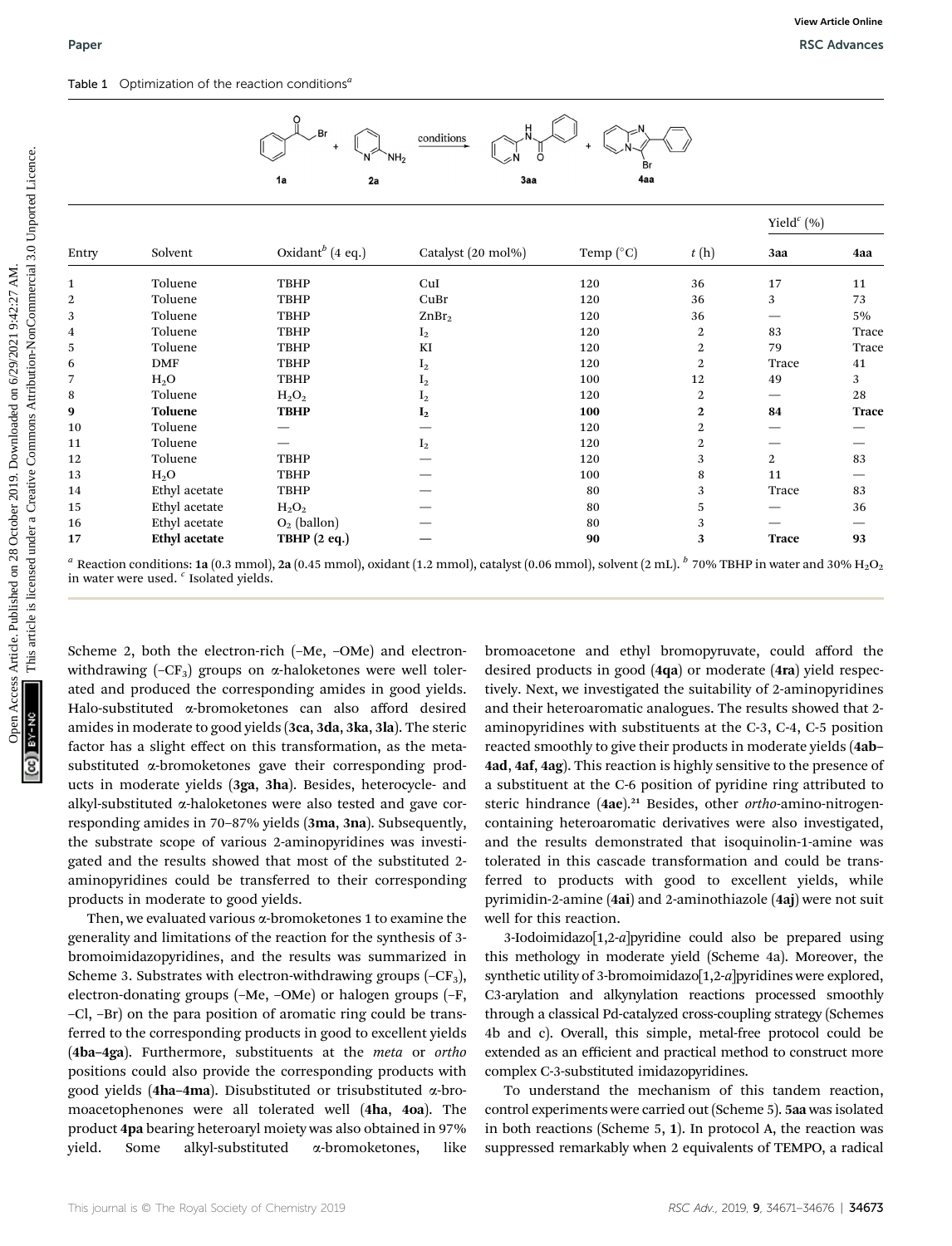

|                  |                                                                           | Ö<br>NH <sub>2</sub><br>Br<br>4aa<br>2a<br>3aa<br>1a |                                                                                                                                                                                         |                      |                  |                |  |
|------------------|---------------------------------------------------------------------------|------------------------------------------------------|-----------------------------------------------------------------------------------------------------------------------------------------------------------------------------------------|----------------------|------------------|----------------|--|
|                  |                                                                           |                                                      |                                                                                                                                                                                         |                      |                  | Yield $^c$ (%) |  |
| Entry            | Solvent                                                                   | Oxidant <sup>b</sup> (4 eq.)                         | Catalyst (20 mol%)                                                                                                                                                                      | Temp $({}^{\circ}C)$ | t(h)             | 3aa            |  |
| 1                | Toluene                                                                   | <b>TBHP</b>                                          | CuI                                                                                                                                                                                     | 120                  | 36               | 17             |  |
| $\boldsymbol{2}$ | Toluene                                                                   | <b>TBHP</b>                                          | CuBr                                                                                                                                                                                    | 120                  | 36               | 3              |  |
| 3                | Toluene                                                                   | <b>TBHP</b>                                          | ZnBr <sub>2</sub>                                                                                                                                                                       | 120                  | 36               |                |  |
| $\overline{4}$   | Toluene                                                                   | <b>TBHP</b>                                          | $I_2$                                                                                                                                                                                   | 120                  | $\boldsymbol{2}$ | 83             |  |
| 5                | Toluene                                                                   | <b>TBHP</b>                                          | KI                                                                                                                                                                                      | 120                  | 2                | 79             |  |
| 6                | <b>DMF</b>                                                                | <b>TBHP</b>                                          | $I_2$                                                                                                                                                                                   | 120                  | 2                | Trace          |  |
| $\overline{7}$   | $H_2O$                                                                    | <b>TBHP</b>                                          | $I_2$                                                                                                                                                                                   | 100                  | 12               | 49             |  |
| 8                | Toluene                                                                   | $H_2O_2$                                             | I <sub>2</sub>                                                                                                                                                                          | 120                  | $\mathbf{2}$     |                |  |
| 9                | <b>Toluene</b>                                                            | <b>TBHP</b>                                          | $I_2$                                                                                                                                                                                   | 100                  | 2                | 84             |  |
| 10               | Toluene                                                                   |                                                      |                                                                                                                                                                                         | 120                  | 2                |                |  |
| 11               | Toluene                                                                   | $\overline{\phantom{0}}$                             | $I_2$                                                                                                                                                                                   | 120                  | 2                |                |  |
| 12               | Toluene                                                                   | <b>TBHP</b>                                          |                                                                                                                                                                                         | 120                  | 3                | 2              |  |
| 13               | $H_2O$                                                                    | <b>TBHP</b>                                          |                                                                                                                                                                                         | 100                  | 8                | 11             |  |
| 14               | Ethyl acetate                                                             | <b>TBHP</b>                                          |                                                                                                                                                                                         | 80                   | 3                | Trace          |  |
| 15               | Ethyl acetate                                                             | $\rm H_2O_2$                                         |                                                                                                                                                                                         | 80                   | 5                |                |  |
| 16               | Ethyl acetate                                                             | $O_2$ (ballon)                                       |                                                                                                                                                                                         | 80                   | 3                |                |  |
| 17               | <b>Ethyl</b> acetate<br>in water were used. <sup>c</sup> Isolated yields. | <b>TBHP</b> (2 eq.)                                  | <sup>a</sup> Reaction conditions: 1a (0.3 mmol), 2a (0.45 mmol), oxidant (1.2 mmol), catalyst (0.06 mmol), solvent (2 mL). $^b$ 70% TBHP in water and 30% H <sub>2</sub> O <sub>2</sub> | 90                   | 3                | <b>Trace</b>   |  |

Scheme 2, both the electron-rich (–Me, –OMe) and electronwithdrawing  $(-CF_3)$  groups on  $\alpha$ -haloketones were well tolerated and produced the corresponding amides in good yields. Halo-substituted a-bromoketones can also afford desired amides in moderate to good yields (3ca, 3da, 3ka, 3la). The steric factor has a slight effect on this transformation, as the metasubstituted a-bromoketones gave their corresponding products in moderate yields (3ga, 3ha). Besides, heterocycle- and alkyl-substituted  $\alpha$ -haloketones were also tested and gave corresponding amides in 70–87% yields (3ma, 3na). Subsequently, the substrate scope of various 2-aminopyridines was investigated and the results showed that most of the substituted 2 aminopyridines could be transferred to their corresponding products in moderate to good yields.

Then, we evaluated various  $\alpha$ -bromoketones 1 to examine the generality and limitations of the reaction for the synthesis of 3 bromoimidazopyridines, and the results was summarized in Scheme 3. Substrates with electron-withdrawing groups  $(-CF_3)$ , electron-donating groups (–Me, –OMe) or halogen groups (–F, –Cl, –Br) on the para position of aromatic ring could be transferred to the corresponding products in good to excellent yields (4ba–4ga). Furthermore, substituents at the meta or ortho positions could also provide the corresponding products with good yields (4ha-4ma). Disubstituted or trisubstituted  $\alpha$ -bromoacetophenones were all tolerated well (4ha, 4oa). The product 4pa bearing heteroaryl moiety was also obtained in 97% yield. Some alkyl-substituted a-bromoketones, like

bromoacetone and ethyl bromopyruvate, could afford the desired products in good (4qa) or moderate (4ra) yield respectively. Next, we investigated the suitability of 2-aminopyridines and their heteroaromatic analogues. The results showed that 2 aminopyridines with substituents at the C-3, C-4, C-5 position reacted smoothly to give their products in moderate yields (4ab– 4ad, 4af, 4ag). This reaction is highly sensitive to the presence of a substituent at the C-6 position of pyridine ring attributed to steric hindrance (4ae).<sup>21</sup> Besides, other ortho-amino-nitrogencontaining heteroaromatic derivatives were also investigated, and the results demonstrated that isoquinolin-1-amine was tolerated in this cascade transformation and could be transferred to products with good to excellent yields, while pyrimidin-2-amine (4ai) and 2-aminothiazole (4aj) were not suit well for this reaction.

3-Iodoimidazo $[1,2-a]$ pyridine could also be prepared using this methology in moderate yield (Scheme 4a). Moreover, the synthetic utility of 3-bromoimidazo $[1,2-a]$ pyridines were explored, C3-arylation and alkynylation reactions processed smoothly through a classical Pd-catalyzed cross-coupling strategy (Schemes 4b and c). Overall, this simple, metal-free protocol could be extended as an efficient and practical method to construct more complex C-3-substituted imidazopyridines.

To understand the mechanism of this tandem reaction, control experiments were carried out (Scheme 5). 5aa was isolated in both reactions (Scheme 5, 1). In protocol A, the reaction was suppressed remarkably when 2 equivalents of TEMPO, a radical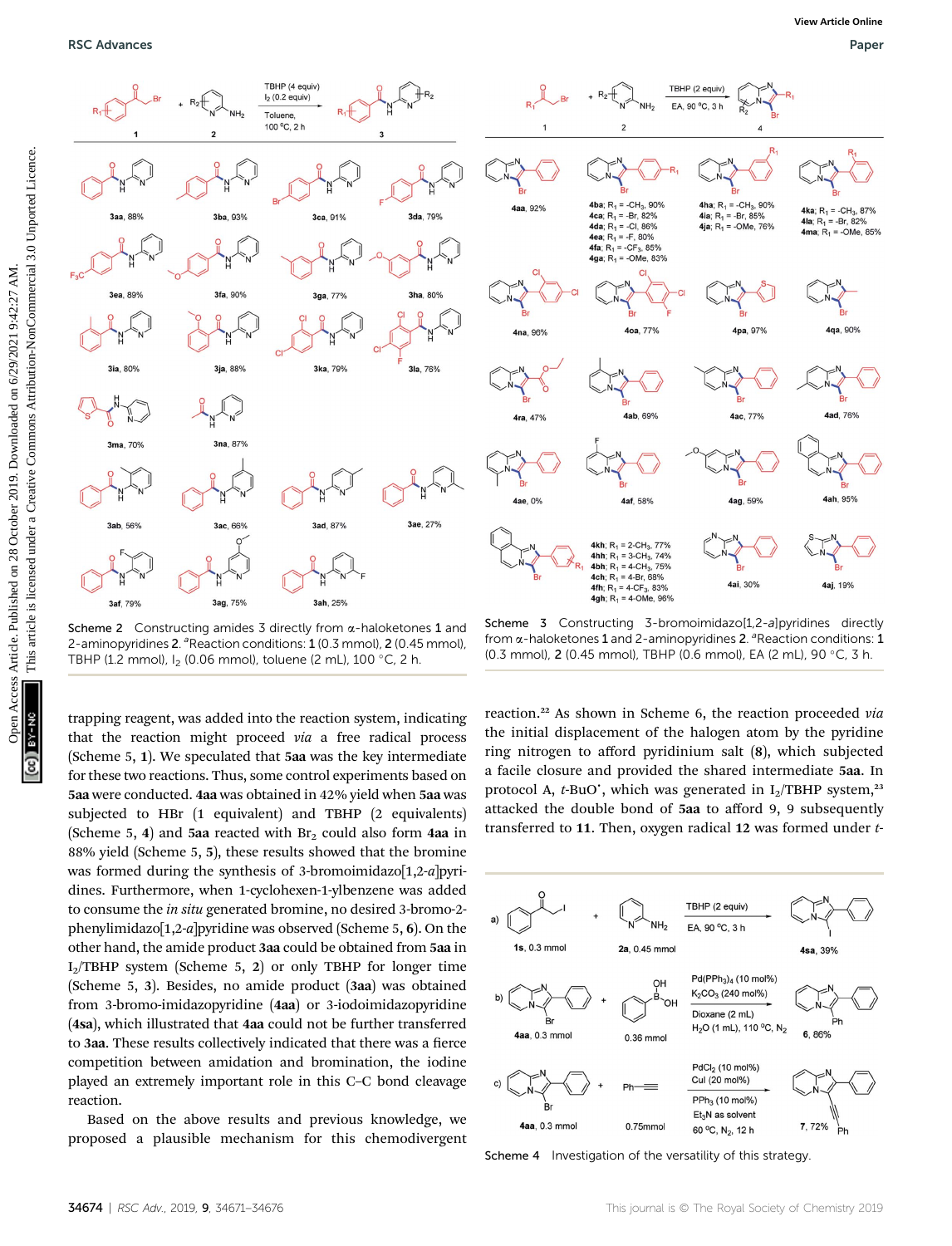

Scheme 2 Constructing amides 3 directly from  $\alpha$ -haloketones 1 and 2-aminopyridines 2.<sup>a</sup> Reaction conditions: 1 (0.3 mmol), 2 (0.45 mmol), TBHP (1.2 mmol),  $I_2$  (0.06 mmol), toluene (2 mL), 100 °C, 2 h.

trapping reagent, was added into the reaction system, indicating that the reaction might proceed via a free radical process (Scheme 5, 1). We speculated that 5aa was the key intermediate for these two reactions. Thus, some control experiments based on 5aa were conducted. 4aa was obtained in 42% yield when 5aa was subjected to HBr (1 equivalent) and TBHP (2 equivalents) (Scheme 5, 4) and 5aa reacted with  $Br<sub>2</sub>$  could also form 4aa in 88% yield (Scheme 5, 5), these results showed that the bromine was formed during the synthesis of 3-bromoimidazo[1,2-a]pyridines. Furthermore, when 1-cyclohexen-1-ylbenzene was added to consume the in situ generated bromine, no desired 3-bromo-2 phenylimidazo $[1,2-a]$ pyridine was observed (Scheme 5, 6). On the other hand, the amide product 3aa could be obtained from 5aa in  $I_2$ TBHP system (Scheme 5, 2) or only TBHP for longer time (Scheme 5, 3). Besides, no amide product (3aa) was obtained from 3-bromo-imidazopyridine (4aa) or 3-iodoimidazopyridine (4sa), which illustrated that 4aa could not be further transferred to 3aa. These results collectively indicated that there was a fierce competition between amidation and bromination, the iodine played an extremely important role in this C–C bond cleavage reaction.

Based on the above results and previous knowledge, we proposed a plausible mechanism for this chemodivergent

Scheme 3 Constructing 3-bromoimidazo[1,2-a]pyridines directly from  $\alpha$ -haloketones 1 and 2-aminopyridines 2. <sup>a</sup> Reaction conditions: 1 (0.3 mmol), 2 (0.45 mmol), TBHP (0.6 mmol), EA (2 mL), 90 °C, 3 h.

reaction.<sup>22</sup> As shown in Scheme 6, the reaction proceeded via the initial displacement of the halogen atom by the pyridine ring nitrogen to afford pyridinium salt (8), which subjected a facile closure and provided the shared intermediate 5aa. In protocol A,  $t$ -BuO', which was generated in  $I_2/TBHP$  system,<sup>23</sup> attacked the double bond of 5aa to afford 9, 9 subsequently transferred to 11. Then, oxygen radical 12 was formed under t-



Scheme 4 Investigation of the versatility of this strategy.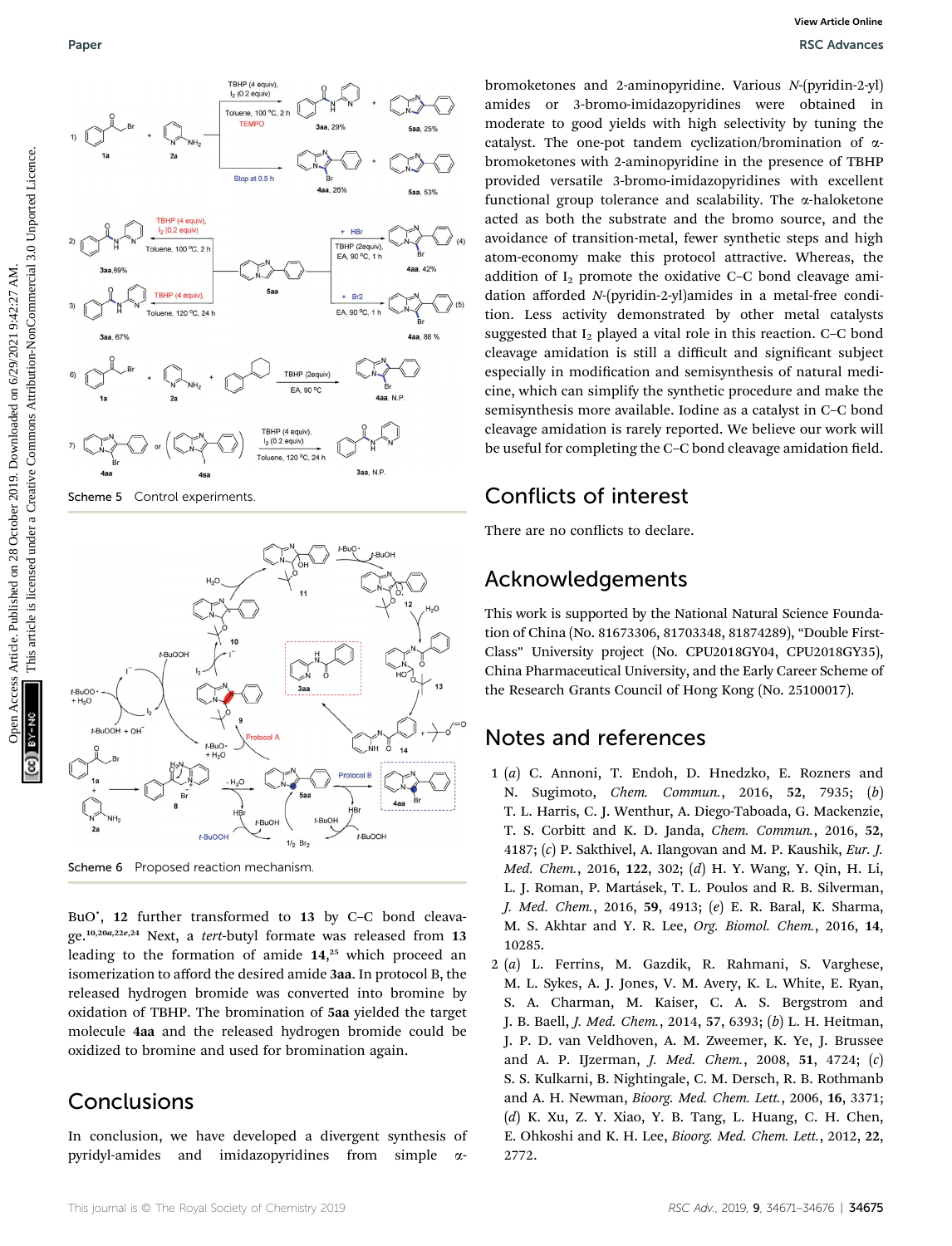



Scheme 6 Proposed reaction mechanism

BuO', 12 further transformed to 13 by C-C bond cleavage.10,20a,22e,24 Next, a tert-butyl formate was released from 13 leading to the formation of amide 14, <sup>25</sup> which proceed an isomerization to afford the desired amide 3aa. In protocol B, the released hydrogen bromide was converted into bromine by oxidation of TBHP. The bromination of 5aa yielded the target molecule 4aa and the released hydrogen bromide could be oxidized to bromine and used for bromination again.

## Conclusions

In conclusion, we have developed a divergent synthesis of pyridyl-amides and imidazopyridines from simple a-

bromoketones and 2-aminopyridine. Various N-(pyridin-2-yl) amides or 3-bromo-imidazopyridines were obtained in moderate to good yields with high selectivity by tuning the catalyst. The one-pot tandem cyclization/bromination of  $\alpha$ bromoketones with 2-aminopyridine in the presence of TBHP provided versatile 3-bromo-imidazopyridines with excellent functional group tolerance and scalability. The  $\alpha$ -haloketone acted as both the substrate and the bromo source, and the avoidance of transition-metal, fewer synthetic steps and high atom-economy make this protocol attractive. Whereas, the addition of  $I_2$  promote the oxidative C–C bond cleavage amidation afforded N-(pyridin-2-yl)amides in a metal-free condition. Less activity demonstrated by other metal catalysts suggested that  $I_2$  played a vital role in this reaction. C–C bond cleavage amidation is still a difficult and significant subject especially in modification and semisynthesis of natural medicine, which can simplify the synthetic procedure and make the semisynthesis more available. Iodine as a catalyst in C–C bond cleavage amidation is rarely reported. We believe our work will be useful for completing the C–C bond cleavage amidation field.

## Conflicts of interest

There are no conflicts to declare.

## Acknowledgements

This work is supported by the National Natural Science Foundation of China (No. 81673306, 81703348, 81874289), "Double First-Class" University project (No. CPU2018GY04, CPU2018GY35), China Pharmaceutical University, and the Early Career Scheme of the Research Grants Council of Hong Kong (No. 25100017).

## Notes and references

- 1 (a) C. Annoni, T. Endoh, D. Hnedzko, E. Rozners and N. Sugimoto, Chem. Commun., 2016, 52, 7935; (b) T. L. Harris, C. J. Wenthur, A. Diego-Taboada, G. Mackenzie, T. S. Corbitt and K. D. Janda, Chem. Commun., 2016, 52, 4187; (c) P. Sakthivel, A. Ilangovan and M. P. Kaushik, Eur. J. Med. Chem., 2016, 122, 302; (d) H. Y. Wang, Y. Qin, H. Li, L. J. Roman, P. Martásek, T. L. Poulos and R. B. Silverman, J. Med. Chem., 2016, 59, 4913; (e) E. R. Baral, K. Sharma, M. S. Akhtar and Y. R. Lee, Org. Biomol. Chem., 2016, 14, 10285.
- 2 (a) L. Ferrins, M. Gazdik, R. Rahmani, S. Varghese, M. L. Sykes, A. J. Jones, V. M. Avery, K. L. White, E. Ryan, S. A. Charman, M. Kaiser, C. A. S. Bergstrom and J. B. Baell, J. Med. Chem., 2014, 57, 6393; (b) L. H. Heitman, J. P. D. van Veldhoven, A. M. Zweemer, K. Ye, J. Brussee and A. P. IJzerman, J. Med. Chem., 2008, 51, 4724; (c) S. S. Kulkarni, B. Nightingale, C. M. Dersch, R. B. Rothmanb and A. H. Newman, Bioorg. Med. Chem. Lett., 2006, 16, 3371;  $(d)$  K. Xu, Z. Y. Xiao, Y. B. Tang, L. Huang, C. H. Chen, E. Ohkoshi and K. H. Lee, Bioorg. Med. Chem. Lett., 2012, 22, 2772.